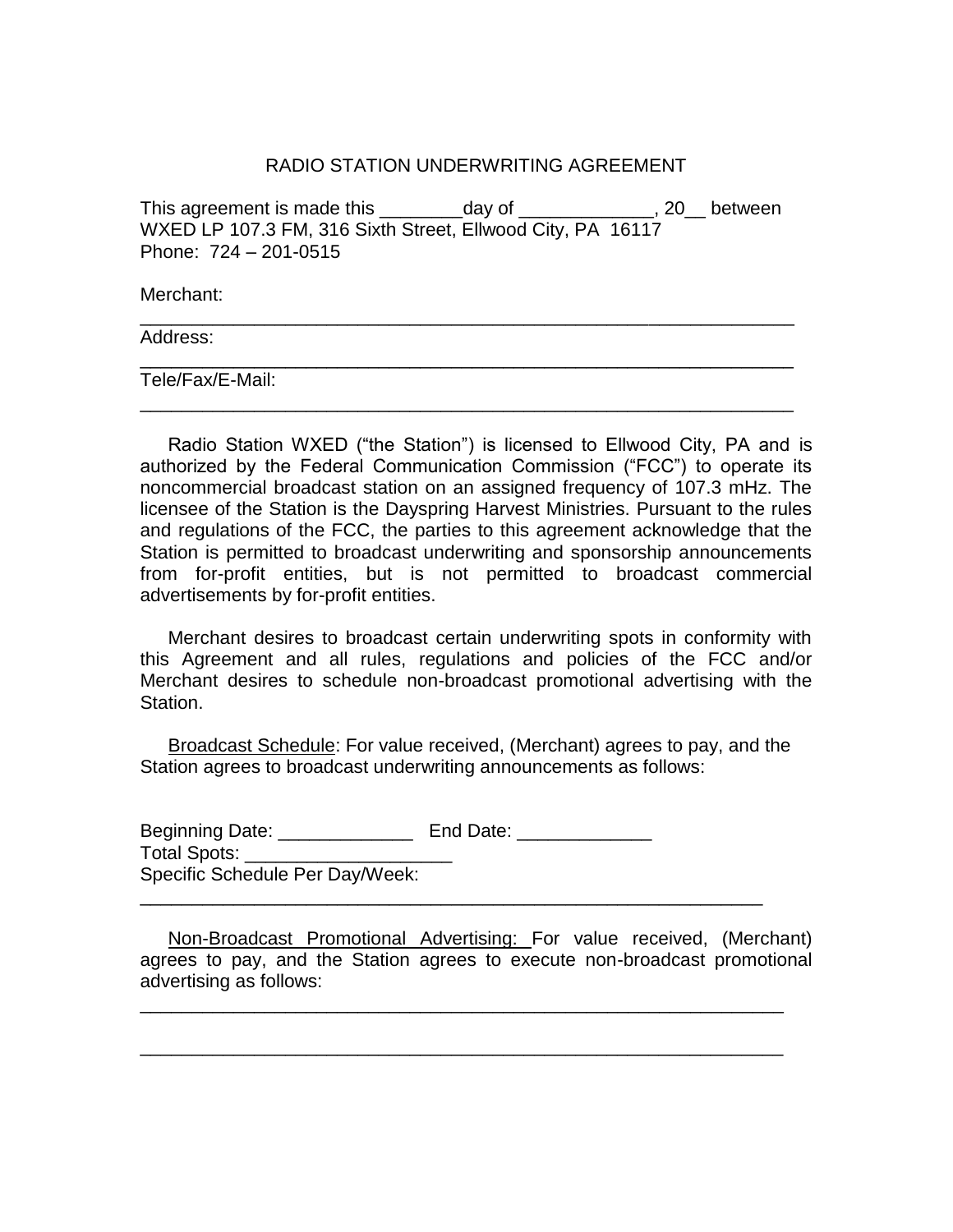## RADIO STATION UNDERWRITING AGREEMENT

This agreement is made this day of this agreement is made this WXED LP 107.3 FM, 316 Sixth Street, Ellwood City, PA 16117 Phone: 724 – 201-0515

\_\_\_\_\_\_\_\_\_\_\_\_\_\_\_\_\_\_\_\_\_\_\_\_\_\_\_\_\_\_\_\_\_\_\_\_\_\_\_\_\_\_\_\_\_\_\_\_\_\_\_\_\_\_\_\_\_\_\_\_\_\_\_

\_\_\_\_\_\_\_\_\_\_\_\_\_\_\_\_\_\_\_\_\_\_\_\_\_\_\_\_\_\_\_\_\_\_\_\_\_\_\_\_\_\_\_\_\_\_\_\_\_\_\_\_\_\_\_\_\_\_\_\_\_\_\_

\_\_\_\_\_\_\_\_\_\_\_\_\_\_\_\_\_\_\_\_\_\_\_\_\_\_\_\_\_\_\_\_\_\_\_\_\_\_\_\_\_\_\_\_\_\_\_\_\_\_\_\_\_\_\_\_\_\_\_\_\_\_\_

Merchant:

Address:

Tele/Fax/E-Mail:

Radio Station WXED ("the Station") is licensed to Ellwood City, PA and is authorized by the Federal Communication Commission ("FCC") to operate its noncommercial broadcast station on an assigned frequency of 107.3 mHz. The licensee of the Station is the Dayspring Harvest Ministries. Pursuant to the rules and regulations of the FCC, the parties to this agreement acknowledge that the Station is permitted to broadcast underwriting and sponsorship announcements from for-profit entities, but is not permitted to broadcast commercial advertisements by for-profit entities.

Merchant desires to broadcast certain underwriting spots in conformity with this Agreement and all rules, regulations and policies of the FCC and/or Merchant desires to schedule non-broadcast promotional advertising with the Station.

Broadcast Schedule: For value received, (Merchant) agrees to pay, and the Station agrees to broadcast underwriting announcements as follows:

Beginning Date: \_\_\_\_\_\_\_\_\_\_\_\_\_\_\_\_\_ End Date: Total Spots: Specific Schedule Per Day/Week: \_\_\_\_\_\_\_\_\_\_\_\_\_\_\_\_\_\_\_\_\_\_\_\_\_\_\_\_\_\_\_\_\_\_\_\_\_\_\_\_\_\_\_\_\_\_\_\_\_\_\_\_\_\_\_\_\_\_\_\_

Non-Broadcast Promotional Advertising: For value received, (Merchant) agrees to pay, and the Station agrees to execute non-broadcast promotional advertising as follows:

\_\_\_\_\_\_\_\_\_\_\_\_\_\_\_\_\_\_\_\_\_\_\_\_\_\_\_\_\_\_\_\_\_\_\_\_\_\_\_\_\_\_\_\_\_\_\_\_\_\_\_\_\_\_\_\_\_\_\_\_\_\_

\_\_\_\_\_\_\_\_\_\_\_\_\_\_\_\_\_\_\_\_\_\_\_\_\_\_\_\_\_\_\_\_\_\_\_\_\_\_\_\_\_\_\_\_\_\_\_\_\_\_\_\_\_\_\_\_\_\_\_\_\_\_